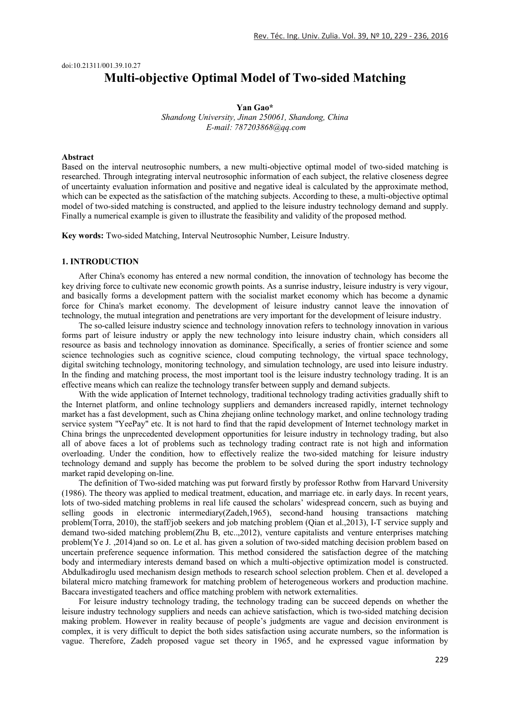# doi:10.21311/001.39.10.27 **Multi-objective Optimal Model of Two-sided Matching**

# **Yan Gao\*** *Shandong University, Jinan 250061, Shandong, China E-mail: 787203868@qq.com*

## **Abstract**

Based on the interval neutrosophic numbers, a new multi-objective optimal model of two-sided matching is researched. Through integrating interval neutrosophic information of each subject, the relative closeness degree of uncertainty evaluation information and positive and negative ideal is calculated by the approximate method, which can be expected as the satisfaction of the matching subjects. According to these, a multi-objective optimal model of two-sided matching is constructed, and applied to the leisure industry technology demand and supply. Finally a numerical example is given to illustrate the feasibility and validity of the proposed method.

**Key words:** Two-sided Matching, Interval Neutrosophic Number, Leisure Industry.

## **1. INTRODUCTION**

After China's economy has entered a new normal condition, the innovation of technology has become the key driving force to cultivate new economic growth points. As a sunrise industry, leisure industry is very vigour, and basically forms a development pattern with the socialist market economy which has become a dynamic force for China's market economy. The development of leisure industry cannot leave the innovation of technology, the mutual integration and penetrations are very important for the development of leisure industry.

The so-called leisure industry science and technology innovation refers to technology innovation in various forms part of leisure industry or apply the new technology into leisure industry chain, which considers all resource as basis and technology innovation as dominance. Specifically, a series of frontier science and some science technologies such as cognitive science, cloud computing technology, the virtual space technology, digital switching technology, monitoring technology, and simulation technology, are used into leisure industry. In the finding and matching process, the most important tool is the leisure industry technology trading. It is an effective means which can realize the technology transfer between supply and demand subjects.

With the wide application of Internet technology, traditional technology trading activities gradually shift to the Internet platform, and online technology suppliers and demanders increased rapidly, internet technology market has a fast development, such as China zhejiang online technology market, and online technology trading service system "YeePay" etc. It is not hard to find that the rapid development of Internet technology market in China brings the unprecedented development opportunities for leisure industry in technology trading, but also all of above faces a lot of problems such as technology trading contract rate is not high and information overloading. Under the condition, how to effectively realize the two-sided matching for leisure industry technology demand and supply has become the problem to be solved during the sport industry technology market rapid developing on-line.

The definition of Two-sided matching was put forward firstly by professor Rothw from Harvard University (1986). The theory was applied to medical treatment, education, and marriage etc. in early days. In recent years, lots of two-sided matching problems in real life caused the scholars' widespread concern, such as buying and selling goods in electronic intermediary(Zadeh,1965), second-hand housing transactions matching problem(Torra, 2010), the staff/job seekers and job matching problem (Qian et al.,2013), I-T service supply and demand two-sided matching problem(Zhu B, etc..,2012), venture capitalists and venture enterprises matching problem(Ye J. ,2014)and so on. Le et al. has given a solution of two-sided matching decision problem based on uncertain preference sequence information. This method considered the satisfaction degree of the matching body and intermediary interests demand based on which a multi-objective optimization model is constructed. Abdulkadiroglu used mechanism design methods to research school selection problem. Chen et al. developed a bilateral micro matching framework for matching problem of heterogeneous workers and production machine. Baccara investigated teachers and office matching problem with network externalities.

For leisure industry technology trading, the technology trading can be succeed depends on whether the leisure industry technology suppliers and needs can achieve satisfaction, which is two-sided matching decision making problem. However in reality because of people's judgments are vague and decision environment is complex, it is very difficult to depict the both sides satisfaction using accurate numbers, so the information is vague. Therefore, Zadeh proposed vague set theory in 1965, and he expressed vague information by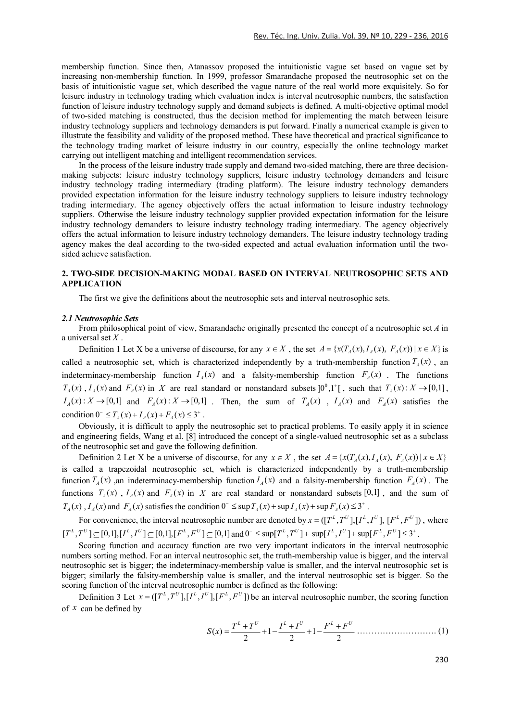membership function. Since then, Atanassov proposed the intuitionistic vague set based on vague set by increasing non-membership function. In 1999, professor Smarandache proposed the neutrosophic set on the basis of intuitionistic vague set, which described the vague nature of the real world more exquisitely. So for leisure industry in technology trading which evaluation index is interval neutrosophic numbers, the satisfaction function of leisure industry technology supply and demand subjects is defined. A multi-objective optimal model of two-sided matching is constructed, thus the decision method for implementing the match between leisure industry technology suppliers and technology demanders is put forward. Finally a numerical example is given to illustrate the feasibility and validity of the proposed method. These have theoretical and practical significance to the technology trading market of leisure industry in our country, especially the online technology market carrying out intelligent matching and intelligent recommendation services.

In the process of the leisure industry trade supply and demand two-sided matching, there are three decisionmaking subjects: leisure industry technology suppliers, leisure industry technology demanders and leisure industry technology trading intermediary (trading platform). The leisure industry technology demanders provided expectation information for the leisure industry technology suppliers to leisure industry technology trading intermediary. The agency objectively offers the actual information to leisure industry technology suppliers. Otherwise the leisure industry technology supplier provided expectation information for the leisure industry technology demanders to leisure industry technology trading intermediary. The agency objectively offers the actual information to leisure industry technology demanders. The leisure industry technology trading agency makes the deal according to the two-sided expected and actual evaluation information until the twosided achieve satisfaction.

# **2. TWO-SIDE DECISION-MAKING MODAL BASED ON INTERVAL NEUTROSOPHIC SETS AND APPLICATION**

The first we give the definitions about the neutrosophic sets and interval neutrosophic sets.

## *2.1 Neutrosophic Sets*

From philosophical point of view, Smarandache originally presented the concept of a neutrosophic set *A* in a universal set *X* .

Definition 1 Let X be a universe of discourse, for any  $x \in X$ , the set  $A = \{x(T_A(x), I_A(x), F_A(x)) | x \in X\}$  is called a neutrosophic set, which is characterized independently by a truth-membership function  $T<sub>4</sub>(x)$ , an indeterminacy-membership function  $I_A(x)$  and a falsity-membership function  $F_A(x)$ . The functions  $T_A(x)$ ,  $I_A(x)$  and  $F_A(x)$  in X are real standard or nonstandard subsets  $[0^0,1^+]$ , such that  $T_A(x): X \to [0,1]$ ,  $I_A(x): X \to [0,1]$  and  $F_A(x): X \to [0,1]$ . Then, the sum of  $T_A(x)$ ,  $I_A(x)$  and  $F_A(x)$  satisfies the condition  $0^{-} \le T_A(x) + I_A(x) + F_A(x) \le 3^{+}$ .

Obviously, it is difficult to apply the neutrosophic set to practical problems. To easily apply it in science and engineering fields, Wang et al. [8] introduced the concept of a single-valued neutrosophic set as a subclass of the neutrosophic set and gave the following definition.

Definition 2 Let X be a universe of discourse, for any  $x \in X$ , the set  $A = \{x(T_A(x), I_A(x), F_A(x)) | x \in X\}$ is called a trapezoidal neutrosophic set, which is characterized independently by a truth-membership function  $T_A(x)$  ,an indeterminacy-membership function  $I_A(x)$  and a falsity-membership function  $F_A(x)$ . The functions  $T_A(x)$ ,  $I_A(x)$  and  $F_A(x)$  in X are real standard or nonstandard subsets [0,1], and the sum of  $T_A(x)$ ,  $I_A(x)$  and  $F_A(x)$  satisfies the condition  $0^- \leq \sup T_A(x) + \sup I_A(x) + \sup F_A(x) \leq 3^+$ .

For convenience, the interval neutrosophic number are denoted by  $x = (\Gamma^L, T^U], [\Gamma^L, I^U], [\Gamma^L, F^U]$ , where  $[T^L, T^U] \subseteq [0,1], [I^L, I^U] \subseteq [0,1], [F^L, F^U] \subseteq [0,1]$  and  $0^- \leq \sup[T^L, T^U] + \sup[I^L, I^U] + \sup[F^L, F^U] \leq 3^+$ .

Scoring function and accuracy function are two very important indicators in the interval neutrosophic numbers sorting method. For an interval neutrosophic set, the truth-membership value is bigger, and the interval neutrosophic set is bigger; the indeterminacy-membership value is smaller, and the interval neutrosophic set is bigger; similarly the falsity-membership value is smaller, and the interval neutrosophic set is bigger. So the scoring function of the interval neutrosophic number is defined as the following:

Definition 3 Let  $x = ([T^L, T^U], [I^L, I^U], [F^L, F^U]$ ) be an interval neutrosophic number, the scoring function of *x* can be defined by

$$
S(x) = \frac{T^{L} + T^{U}}{2} + 1 - \frac{I^{L} + I^{U}}{2} + 1 - \frac{F^{L} + F^{U}}{2} \dots \dots \dots \dots \dots \dots \dots \dots \dots \tag{1}
$$

230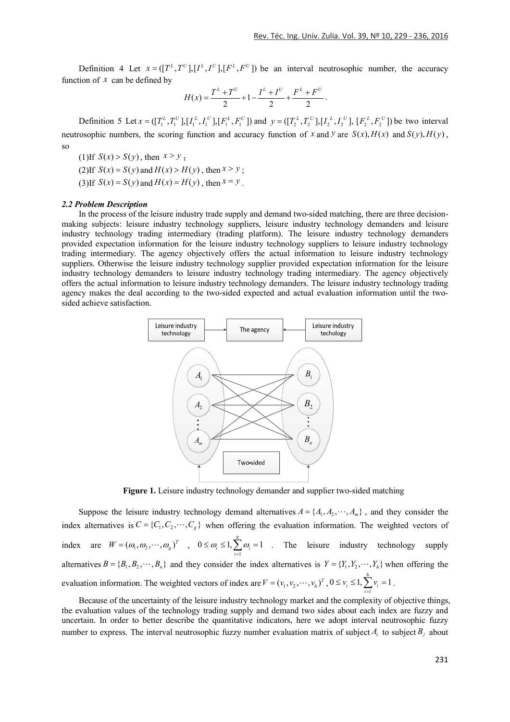Definition 4 Let  $x = ([T^L, T^U], [I^L, I^U], [F^L, F^U])$  be an interval neutrosophic number, the accuracy function of  $x$  can be defined by

$$
H(x) = \frac{T^{L} + T^{U}}{2} + 1 - \frac{I^{L} + I^{U}}{2} + \frac{F^{L} + F^{U}}{2}.
$$

Definition 5 Let 1 1 1 1 1 1 ([ , ],[ , ],[ , ]) *L U L U L U x T T I I F F* and 2 2 2 2 ([ , ],[ , ], *L U L U y T T I I* 2 2 [ , ]) *L U F F* be two interval neutrosophic numbers, the scoring function and accuracy function of *x* and *y* are  $S(x)$ ,  $H(x)$  and  $S(y)$ ,  $H(y)$ , so

(1) If  $S(x) > S(y)$ , then  $x > y$ . (2) If  $S(x) = S(y)$  and  $H(x) > H(y)$ , then  $x > y$ ;

(3) If  $S(x) = S(y)$  and  $H(x) = H(y)$ , then  $x = y$ .

### *2.2 Problem Description*

In the process of the leisure industry trade supply and demand two-sided matching, there are three decisionmaking subjects: leisure industry technology suppliers, leisure industry technology demanders and leisure industry technology trading intermediary (trading platform). The leisure industry technology demanders provided expectation information for the leisure industry technology suppliers to leisure industry technology trading intermediary. The agency objectively offers the actual information to leisure industry technology suppliers. Otherwise the leisure industry technology supplier provided expectation information for the leisure industry technology demanders to leisure industry technology trading intermediary. The agency objectively offers the actual information to leisure industry technology demanders. The leisure industry technology trading agency makes the deal according to the two-sided expected and actual evaluation information until the twosided achieve satisfaction.



**Figure 1.** Leisure industry technology demander and supplier two-sided matching

Suppose the leisure industry technology demand alternatives  $A = \{A_1, A_2, \dots, A_n\}$ , and they consider the index alternatives is  $C = \{C_1, C_2, \dots, C_g\}$  when offering the evaluation information. The weighted vectors of index are  $W = (\omega_1, \omega_2, \cdots, \omega_g)^T$ ,  $0 \le \omega_i \le 1$ ,  $\sum_{i=1}^{\infty}$  $0 \leq \omega_i \leq 1, \sum_{i=1}^{g} \omega_i = 1$  $\sum_{i=1}^n \omega_i$  $\omega \leq 1$ ,  $\theta$  $\leq \omega_i \leq 1$ ,  $\sum_{i=1}^{\infty} \omega_i = 1$  . The leisure industry technology supply alternatives  $B = \{B_1, B_2, \dots, B_n\}$  and they consider the index alternatives is  $Y = \{Y_1, Y_2, \dots, Y_n\}$  when offering the evaluation information. The weighted vectors of index are  $V = (v_1, v_2, \dots, v_h)^T$ ,  $0 \le v_i \le 1$ ,  $\sum_{i=1}^{h} v_i = 1$ 1  $\leq v_i \leq 1, \sum v_i = 1$ . *i*  $=$ 

Because of the uncertainty of the leisure industry technology market and the complexity of objective things, the evaluation values of the technology trading supply and demand two sides about each index are fuzzy and uncertain. In order to better describe the quantitative indicators, here we adopt interval neutrosophic fuzzy number to express. The interval neutrosophic fuzzy number evaluation matrix of subject  $A_i$  to subject  $B_i$  about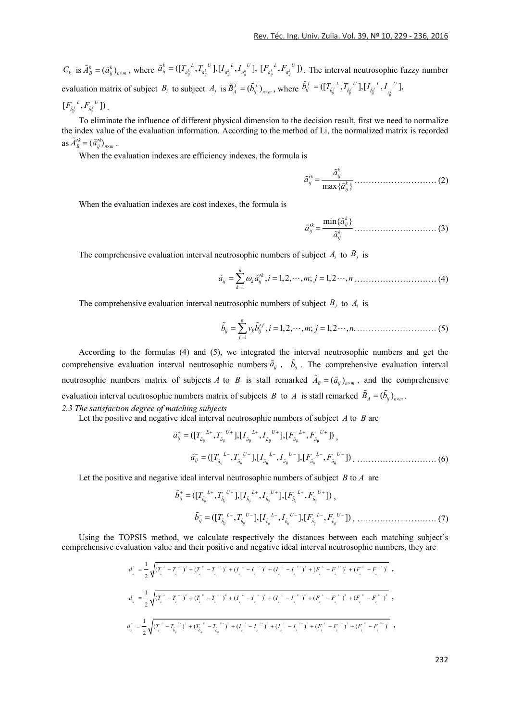$C_k$  is  $\tilde{A}_B^k = (\tilde{a}_{ij}^k)_{n \times m}$ , where  $\tilde{a}_{ij}^k = (\left[I_{\tilde{a}_{ij}^k}^k, T_{\tilde{a}_{ij}^k}^k\right], \left[I_{\tilde{a}_{ij}^k}^k, I_{\tilde{a}_{ij}^k}^k\right],$  $\tilde{a}^k_{ij} = ([T_{\tilde{a}^k_{ij}}^{\ \ L},T_{\tilde{a}^k_{ij}}^{\ \ U}], [I_{\tilde{a}^k_{ij}}^{\ \ L},I_{\tilde{a}^k_{ij}}^{\ \ U}], \ [F_{\tilde{a}^k_{ij}}^{\ \ L},F_{\tilde{a}^k_{ij}}^{\ \ U}])$  $F_{\tilde{a}_{ii}}^{\mu}$ ,  $F_{\tilde{a}_{ii}}^{\mu}$ <sup>U</sup>). The interval neutrosophic fuzzy number evaluation matrix of subject  $B_i$  to subject  $A_j$  is  $\tilde{B}_A^f = (\tilde{b}_{ij}^f)_{n \times m}$ , where  $\tilde{b}_{ij}^f = (\left[T_{\tilde{b}_{ij}^f}^f, T_{\tilde{b}_{ij}^f}^f\right], \left[I_{\tilde{b}_{ij}^f}^f, I_{\tilde{b}_{ij}^f}^f\right]$  $\tilde{b}^f_{ij} = (\left[I^{\mathcal{I}^L}_{\tilde{b}^f_{i}}, I^{\mathcal{I}^U}_{\tilde{b}^f_{i}}\right], \left[I^{\mathcal{I}^L}_{\tilde{b}^f_{i}}, I^{\mathcal{I}^U}_{\tilde{b}^f}\right]$ 

$$
[F_{\tilde{b}_{ij}^f}^{\ \ L},F_{\tilde{b}_{ij}^f}^{\ \ U}]\big).
$$

To eliminate the influence of different physical dimension to the decision result, first we need to normalize the index value of the evaluation information. According to the method of Li, the normalized matrix is recorded as  $\tilde{A}'^k_B = (\tilde{a}'^k_{ij})^k_{n \times m}$ .

When the evaluation indexes are efficiency indexes, the formula is

max{ } *k k ij ij k ij a a <sup>a</sup>* .………………………. (2)

When the evaluation indexes are cost indexes, the formula is

$$
\tilde{a}_{ij}^{\prime k} = \frac{\min\{\tilde{a}_{ij}^k\}}{\tilde{a}_{ij}^k} \dots \dots \dots \dots \dots \dots \dots \dots \dots \dots \dots \quad (3)
$$

The comprehensive evaluation interval neutrosophic numbers of subject  $A_i$  to  $B_j$  is

$$
\tilde{a}_{ij} = \sum_{k=1}^{h} \omega_k \tilde{a}_{ij}^{nk}, i = 1, 2, \cdots, m; j = 1, 2 \cdots, n \dots \dots \dots \dots \dots \dots \dots \dots \dots \dots \dots \dots \tag{4}
$$

The comprehensive evaluation interval neutrosophic numbers of subject  $B_i$  to  $A_i$  is

$$
\tilde{b}_{ij} = \sum_{j=1}^{g} v_k \tilde{b}_{ij}^{t,f}, i = 1, 2, \cdots, m; j = 1, 2 \cdots, n. \dots \dots \dots \dots \dots \dots \dots \dots \dots \dots \dots \tag{5}
$$

According to the formulas (4) and (5), we integrated the interval neutrosophic numbers and get the comprehensive evaluation interval neutrosophic numbers  $\tilde{a}_{ij}$ ,  $\tilde{b}_{ij}$ . The comprehensive evaluation interval neutrosophic numbers matrix of subjects *A* to *B* is stall remarked  $\tilde{A}_B = (\tilde{a}_{ij})_{n \times m}$ , and the comprehensive evaluation interval neutrosophic numbers matrix of subjects *B* to *A* is stall remarked  $\tilde{B}_A = (\tilde{b}_{ij})_{n \times m}$ . *2.3 The satisfaction degree of matching subjects* 

Let the positive and negative ideal interval neutrosophic numbers of subject *A* to *B* are

([ , ],[ , ],[ , ]) *ij ij ij ij ij ij L U L U L U ij a a a a a a a T T I I F F* , ([ , ],[ , ],[ , ]) *ij ij ij ij ij ij L U L U L U ij a a a a a a a T T I I F F* . ………………………. (6)

Let the positive and negative ideal interval neutrosophic numbers of subject *B* to *A* are

([ , ],[ , ],[ , ]) *ij ij ij ij ij ij L U L U L U ij b b b b b b b T T I I F F* , ([ , ],[ , ],[ , ]) *ij ij ij ij ij ij L U L U L U ij b b b b b b b T T I I F F* . ………………………. (7)

Using the TOPSIS method, we calculate respectively the distances between each matching subject's comprehensive evaluation value and their positive and negative ideal interval neutrosophic numbers, they are

$$
d_{\tilde{i}_{j}}^{*} = \frac{1}{2} \sqrt{(T_{\tilde{i}_{j}}^{*} - T_{\tilde{i}_{j}}^{*})^{2} + (T_{\tilde{i}_{j}}^{*} - T_{\tilde{i}_{j}}^{*})^{2} + (I_{\tilde{i}_{j}}^{*} - I_{\tilde{i}_{j}}^{*})^{2} + (I_{\tilde{i}_{j}}^{*} - I_{\tilde{i}_{j}}^{*})^{2} + (F_{\tilde{i}_{j}}^{*} - F_{\tilde{i}_{j}}^{*})^{2} + (F_{\tilde{i}_{j}}^{*} - F_{\tilde{i}_{j}}^{*})^{2} + (F_{\tilde{i}_{j}}^{*} - F_{\tilde{i}_{j}}^{*})^{2} + (F_{\tilde{i}_{j}}^{*} - F_{\tilde{i}_{j}}^{*})^{2} + (F_{\tilde{i}_{j}}^{*} - F_{\tilde{i}_{j}}^{*})^{2} + (F_{\tilde{i}_{j}}^{*} - F_{\tilde{i}_{j}}^{*})^{2} + (F_{\tilde{i}_{j}}^{*} - F_{\tilde{i}_{j}}^{*})^{2} + (F_{\tilde{i}_{j}}^{*} - F_{\tilde{i}_{j}}^{*})^{2} + (F_{\tilde{i}_{j}}^{*} - F_{\tilde{i}_{j}}^{*})^{2} + (F_{\tilde{i}_{j}}^{*} - F_{\tilde{i}_{j}}^{*})^{2} + (F_{\tilde{i}_{j}}^{*} - F_{\tilde{i}_{j}}^{*})^{2} + (F_{\tilde{i}_{j}}^{*} - F_{\tilde{i}_{j}}^{*})^{2} + (F_{\tilde{i}_{j}}^{*} - F_{\tilde{i}_{j}}^{*})^{2} + (F_{\tilde{i}_{j}}^{*} - F_{\tilde{i}_{j}}^{*})^{2} + (F_{\tilde{i}_{j}}^{*} - F_{\tilde{i}_{j}}^{*})^{2} + (F_{\tilde{i}_{j}}^{*} - F_{\tilde{i}_{j}}^{*})^{2} + (F_{\tilde{i}_{j}}^{*} - F_{\tilde{i}_{j}}^{*})^{2} + (F_{\tilde{i}_{j}}^{*} - F_{\tilde{i}_{j}}^{*})^{2} + (F_{\tilde{i}_{j}}^{*} - F_{\tilde{i}_{j}}^{*})^{2} + (F_{\tilde{i}_{j}}^{*} - F_{\tilde{i}_{j}}^{*})^{2} + (F_{\tilde{i}_{j}}^{*} - F_{\
$$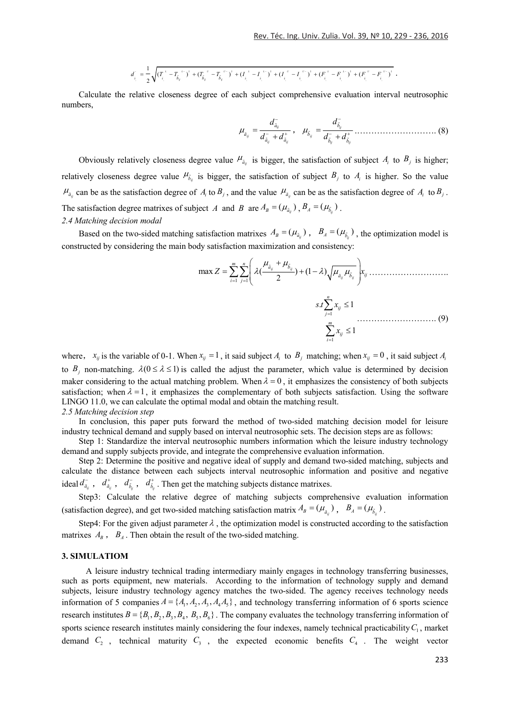$$
d_{i}^{\top} = \frac{1}{2} \sqrt{(T_{i}^{\tau} - T_{b}^{\tau})^2 + (T_{b}^{\tau})^2 + (T_{b}^{\tau})^2 + (T_{i}^{\tau})^2 + (T_{i}^{\tau})^2 + (T_{i}^{\tau})^2 + (T_{i}^{\tau})^2 + (T_{i}^{\tau})^2 + (T_{i}^{\tau})^2 + (T_{i}^{\tau})^2 + (T_{i}^{\tau})^2}.
$$

Calculate the relative closeness degree of each subject comprehensive evaluation interval neutrosophic numbers,

$$
\mu_{\tilde{a}_{ij}} = \frac{d_{\tilde{a}_{ij}}^-}{d_{\tilde{a}_{ij}}^- + d_{\tilde{a}_{ij}}^+}, \quad \mu_{\tilde{b}_{ij}} = \frac{d_{\tilde{b}_{ij}}^-}{d_{\tilde{b}_{ij}}^- + d_{\tilde{b}_{ij}}^+} \dots \dots \dots \dots \dots \dots \dots \dots \dots \tag{8}
$$

Obviously relatively closeness degree value  $\mu_{\tilde{a}_{ij}}$  is bigger, the satisfaction of subject  $A_i$  to  $B_j$  is higher; relatively closeness degree value  $\mu_{\tilde{b}_j}$  is bigger, the satisfaction of subject  $B_j$  to  $A_i$  is higher. So the value  $\mu_{\tilde{a}_j}$  can be as the satisfaction degree of *A<sub>i</sub>* to  $B_j$ , and the value  $\mu_{\tilde{a}_j}$  can be as the satisfaction degree of *A<sub>i</sub>* to  $B_j$ . The satisfaction degree matrixes of subject *A* and *B* are  $A_B = (\mu_{\tilde{a}_B})$ ,  $B_A = (\mu_{\tilde{b}_B})$ . *2.4 Matching decision modal* 

Based on the two-sided matching satisfaction matrixes  $A_B = (\mu_{\tilde{a}_n})$ ,  $B_A = (\mu_{\tilde{b}_n})$ , the optimization model is constructed by considering the main body satisfaction maximization and consistency:

1 1 max ( ) (1 ) <sup>2</sup> *ij ij ij ij m n a b a b ij i j Z x* ………………………. 1 1 . 1 1 *n ij j m ij i s t x x* ………………………. (9)

where,  $x_{ij}$  is the variable of 0-1. When  $x_{ij} = 1$ , it said subject  $A_i$  to  $B_j$  matching; when  $x_{ij} = 0$ , it said subject  $A_i$ to  $B_i$  non-matching.  $\lambda(0 \le \lambda \le 1)$  is called the adjust the parameter, which value is determined by decision maker considering to the actual matching problem. When  $\lambda = 0$ , it emphasizes the consistency of both subjects satisfaction; when  $\lambda = 1$ , it emphasizes the complementary of both subjects satisfaction. Using the software LINGO 11.0, we can calculate the optimal modal and obtain the matching result. *2.5 Matching decision step*

In conclusion, this paper puts forward the method of two-sided matching decision model for leisure industry technical demand and supply based on interval neutrosophic sets. The decision steps are as follows:

Step 1: Standardize the interval neutrosophic numbers information which the leisure industry technology demand and supply subjects provide, and integrate the comprehensive evaluation information.

Step 2: Determine the positive and negative ideal of supply and demand two-sided matching, subjects and calculate the distance between each subjects interval neutrosophic information and positive and negative ideal  $d_{\tilde{a}_{ij}}^-,$   $d_{\tilde{a}_{ij}}^+,$   $d_{\tilde{b}_{ij}}^+,$   $d_{\tilde{b}_{ij}}^+$ . Then get the matching subjects distance matrixes.

Step3: Calculate the relative degree of matching subjects comprehensive evaluation information (satisfaction degree), and get two-sided matching satisfaction matrix  $A_B = (\mu_{\tilde{a}_a})$ ,  $B_A = (\mu_{\tilde{b}_a})$ .

Step4: For the given adjust parameter  $\lambda$ , the optimization model is constructed according to the satisfaction matrixes  $A_B$ ,  $B_A$ . Then obtain the result of the two-sided matching.

## **3. SIMULATIOM**

A leisure industry technical trading intermediary mainly engages in technology transferring businesses, such as ports equipment, new materials. According to the information of technology supply and demand subjects, leisure industry technology agency matches the two-sided. The agency receives technology needs information of 5 companies  $A = \{A_1, A_2, A_3, A_4A_5\}$ , and technology transferring information of 6 sports science research institutes  $B = \{B_1, B_2, B_3, B_4, B_5, B_6\}$ . The company evaluates the technology transferring information of sports science research institutes mainly considering the four indexes, namely technical practicability  $C_1$ , market demand  $C_2$ , technical maturity  $C_3$ , the expected economic benefits  $C_4$ . The weight vector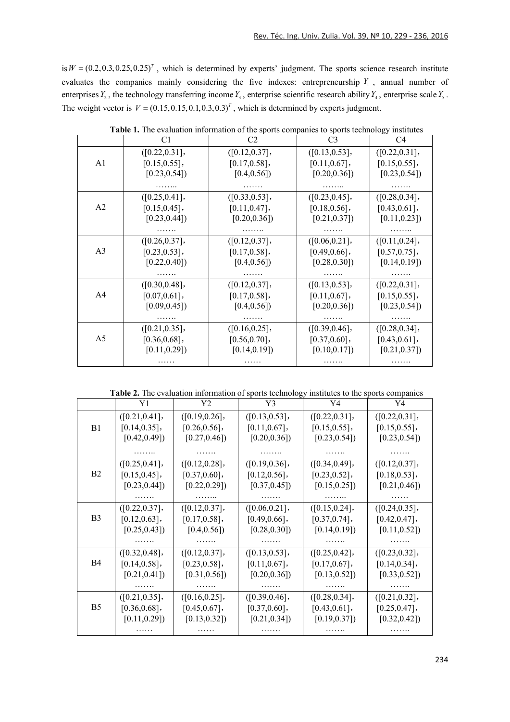is  $W = (0.2, 0.3, 0.25, 0.25)^T$ , which is determined by experts' judgment. The sports science research institute evaluates the companies mainly considering the five indexes: entrepreneurship  $Y_1$ , annual number of enterprises  $Y_2$ , the technology transferring income  $Y_3$ , enterprise scientific research ability  $Y_4$ , enterprise scale  $Y_5$ . The weight vector is  $V = (0.15,0.15,0.1,0.3,0.3)^T$ , which is determined by experts judgment.

|                | C <sub>1</sub>   | C <sub>2</sub>   | C <sub>3</sub>   | C4               |
|----------------|------------------|------------------|------------------|------------------|
|                | ([0.22, 0.31],   | ([0.12, 0.37],   | ([0.13, 0.53],   | ([0.22, 0.31],   |
| A1             | $[0.15, 0.55]$ , | $[0.17, 0.58]$ , | $[0.11, 0.67]$ , | $[0.15, 0.55]$ , |
|                | [0.23, 0.54]     | [0.4, 0.56]      | [0.20, 0.36]     | [0.23, 0.54]     |
|                |                  |                  |                  |                  |
|                | ([0.25, 0.41],   | ([0.33, 0.53],   | ([0.23, 0.45],   | ([0.28, 0.34],   |
| A <sub>2</sub> | $[0.15, 0.45]$ , | $[0.11, 0.47]$ , | [0.18, 0.56],    | $[0.43, 0.61]$ , |
|                | [0.23, 0.44]     | [0.20, 0.36]     | [0.21, 0.37]     | [0.11, 0.23]     |
|                |                  |                  |                  |                  |
|                | ([0.26, 0.37],   | ([0.12, 0.37],   | ([0.06, 0.21],   | ([0.11, 0.24],   |
| A <sub>3</sub> | $[0.23, 0.53]$ , | $[0.17, 0.58]$ , | $[0.49, 0.66]$ , | $[0.57, 0.75]$ , |
|                | [0.22, 0.40]     | [0.4, 0.56]      | [0.28, 0.30]     | [0.14, 0.19]     |
|                |                  |                  |                  |                  |
|                | ([0.30, 0.48],   | ([0.12, 0.37],   | ([0.13, 0.53],   | ([0.22, 0.31],   |
| A4             | $[0.07, 0.61]$ , | $[0.17, 0.58]$ , | $[0.11, 0.67]$ , | $[0.15, 0.55]$ , |
|                | [0.09, 0.45]     | [0.4, 0.56]      | [0.20, 0.36]     | [0.23, 0.54]     |
|                |                  |                  |                  |                  |
|                | ([0.21, 0.35],   | ([0.16, 0.25],   | ([0.39, 0.46],   | ([0.28, 0.34],   |
| A <sub>5</sub> | [0.36, 0.68],    | [0.56, 0.70],    | $[0.37, 0.60]$ , | $[0.43, 0.61]$ , |
|                | [0.11, 0.29]     | [0.14, 0.19]     | [0.10, 0.17]     | [0.21, 0.37]     |
|                |                  |                  |                  |                  |

**Table 1.** The evaluation information of the sports companies to sports technology institutes

**Table 2.** The evaluation information of sports technology institutes to the sports companies

|                | Y1               | Y2               | Y3               | Y4               | Y4               |
|----------------|------------------|------------------|------------------|------------------|------------------|
|                | ([0.21, 0.41],   | ([0.19, 0.26],   | ([0.13, 0.53],   | ([0.22, 0.31],   | ([0.22, 0.31],   |
| B1             | [0.14, 0.35],    | $[0.26, 0.56]$ , | [0.11, 0.67],    | $[0.15, 0.55]$ , | $[0.15, 0.55]$ , |
|                | [0.42, 0.49]     | [0.27, 0.46]     | [0.20, 0.36]     | [0.23, 0.54]     | [0.23, 0.54]     |
|                |                  |                  |                  |                  |                  |
| B <sub>2</sub> | ([0.25, 0.41],   | ([0.12, 0.28],   | ([0.19, 0.36],   | ([0.34, 0.49],   | ([0.12, 0.37],   |
|                | $[0.15, 0.45]$ , | [0.37, 0.60],    | $[0.12, 0.56]$ , | $[0.23, 0.52]$ , | $[0.18, 0.53]$ , |
|                | [0.23, 0.44]     | [0.22, 0.29]     | [0.37, 0.45]     | [0.15, 0.25]     | [0.21, 0.46]     |
|                |                  |                  |                  |                  |                  |
|                | ([0.22, 0.37],   | ([0.12, 0.37],   | ([0.06, 0.21],   | ([0.15, 0.24],   | ([0.24, 0.35],   |
| B <sub>3</sub> | $[0.12, 0.63]$ , | $[0.17, 0.58]$ , | $[0.49, 0.66]$ , | $[0.37, 0.74]$ , | [0.42, 0.47],    |
|                | [0.25, 0.43]     | [0.4, 0.56]      | [0.28, 0.30]     | [0.14, 0.19]     | [0.11, 0.52]     |
|                |                  |                  |                  |                  |                  |
|                | ([0.32, 0.48],   | ([0.12, 0.37],   | ([0.13, 0.53],   | ([0.25, 0.42],   | ([0.23, 0.32],   |
| <b>B4</b>      | $[0.14, 0.58]$ , | $[0.23, 0.58]$ , | [0.11, 0.67],    | $[0.17, 0.67]$ , | [0.14, 0.34],    |
|                | [0.21, 0.41]     | [0.31, 0.56]     | [0.20, 0.36]     | [0.13, 0.52]     | [0.33, 0.52]     |
|                |                  |                  |                  |                  |                  |
|                | ([0.21, 0.35],   | ([0.16, 0.25],   | ([0.39, 0.46],   | ([0.28, 0.34],   | ([0.21, 0.32],   |
| B <sub>5</sub> | $[0.36, 0.68]$ , | [0.45, 0.67],    | $[0.37, 0.60]$ , | $[0.43, 0.61]$ , | $[0.25, 0.47]$ , |
|                | [0.11, 0.29]     | [0.13, 0.32]     | [0.21, 0.34]     | [0.19, 0.37]     | [0.32, 0.42]     |
|                |                  |                  |                  |                  |                  |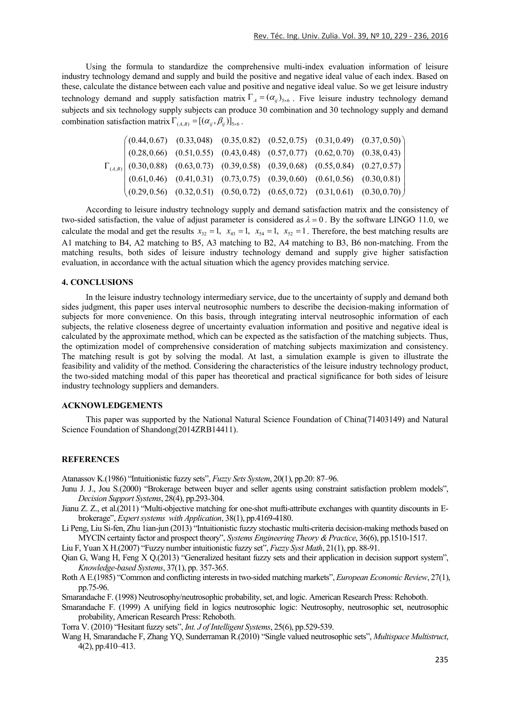Using the formula to standardize the comprehensive multi-index evaluation information of leisure industry technology demand and supply and build the positive and negative ideal value of each index. Based on these, calculate the distance between each value and positive and negative ideal value. So we get leisure industry technology demand and supply satisfaction matrix  $\Gamma_A = (\alpha_{ij})_{5 \times 6}$ . Five leisure industry technology demand subjects and six technology supply subjects can produce 30 combination and 30 technology supply and demand combination satisfaction matrix  $\Gamma_{(A,B)} = [(\alpha_{ij}, \beta_{ij})]_{5 \times 6}$ .

$$
\Gamma_{(A,B)} \begin{pmatrix}\n(0.44, 0.67) & (0.33, 048) & (0.35, 0.82) & (0.52, 0.75) & (0.31, 0.49) & (0.37, 0.50) \\
(0.28, 0.66) & (0.51, 0.55) & (0.43, 0.48) & (0.57, 0.77) & (0.62, 0.70) & (0.38, 0.43) \\
(0.30, 0.88) & (0.63, 0.73) & (0.39, 0.58) & (0.39, 0.68) & (0.55, 0.84) & (0.27, 0.57) \\
(0.61, 0.46) & (0.41, 0.31) & (0.73, 0.75) & (0.39, 0.60) & (0.61, 0.56) & (0.30, 0.81) \\
(0.29, 0.56) & (0.32, 0.51) & (0.50, 0.72) & (0.65, 0.72) & (0.31, 0.61) & (0.30, 0.70)\n\end{pmatrix}
$$

According to leisure industry technology supply and demand satisfaction matrix and the consistency of two-sided satisfaction, the value of adjust parameter is considered as  $\lambda = 0$ . By the software LINGO 11.0, we calculate the modal and get the results  $x_{32} = 1$ ,  $x_{43} = 1$ ,  $x_{54} = 1$ ,  $x_{52} = 1$ . Therefore, the best matching results are A1 matching to B4, A2 matching to B5, A3 matching to B2, A4 matching to B3, B6 non-matching. From the matching results, both sides of leisure industry technology demand and supply give higher satisfaction evaluation, in accordance with the actual situation which the agency provides matching service.

# **4. CONCLUSIONS**

In the leisure industry technology intermediary service, due to the uncertainty of supply and demand both sides judgment, this paper uses interval neutrosophic numbers to describe the decision-making information of subjects for more convenience. On this basis, through integrating interval neutrosophic information of each subjects, the relative closeness degree of uncertainty evaluation information and positive and negative ideal is calculated by the approximate method, which can be expected as the satisfaction of the matching subjects. Thus, the optimization model of comprehensive consideration of matching subjects maximization and consistency. The matching result is got by solving the modal. At last, a simulation example is given to illustrate the feasibility and validity of the method. Considering the characteristics of the leisure industry technology product, the two-sided matching modal of this paper has theoretical and practical significance for both sides of leisure industry technology suppliers and demanders.

#### **ACKNOWLEDGEMENTS**

This paper was supported by the National Natural Science Foundation of China(71403149) and Natural Science Foundation of Shandong(2014ZRB14411).

## **REFERENCES**

Atanassov K.(1986) "Intuitionistic fuzzy sets", *Fuzzy Sets System*, 20(1), pp.20: 87–96.

- Junu J. J., Jou S.(2000) "Brokerage between buyer and seller agents using constraint satisfaction problem models", *Decision Support Systems*, 28(4), pp.293-304.
- Jianu Z. Z., et al.(2011) "Multi-objective matching for one-shot mufti-attribute exchanges with quantity discounts in Ebrokerage", *Expert systems with Application*, 38(1), pp.4169-4180.
- Li Peng, Liu Si-fen, Zhu 1ian-jun (2013) "Intuitionistic fuzzy stochastic multi-criteria decision-making methods based on MYCIN certainty factor and prospect theory", *Systems Engineering Theory &Practice*, 36(6), pp.1510-1517.

Liu F, Yuan X H.(2007) "Fuzzy number intuitionistic fuzzy set", *Fuzzy Syst Math*, 21(1), pp. 88-91.

Qian G, Wang H, Feng X Q.(2013) "Generalized hesitant fuzzy sets and their application in decision support system", *Knowledge-based Systems*, 37(1), pp. 357-365.

Roth A E.(1985) "Common and conflicting interests in two-sided matching markets", *European Economic Review*, 27(1), pp.75-96.

Smarandache F. (1998) Neutrosophy/neutrosophic probability, set, and logic. American Research Press: Rehoboth.

Smarandache F. (1999) A unifying field in logics neutrosophic logic: Neutrosophy, neutrosophic set, neutrosophic probability, American Research Press: Rehoboth.

Torra V. (2010) "Hesitant fuzzy sets", *Int. J of Intelligent Systems*, 25(6), pp.529-539.

Wang H, Smarandache F, Zhang YQ, Sunderraman R.(2010) "Single valued neutrosophic sets", *Multispace Multistruct*, 4(2), pp.410–413.